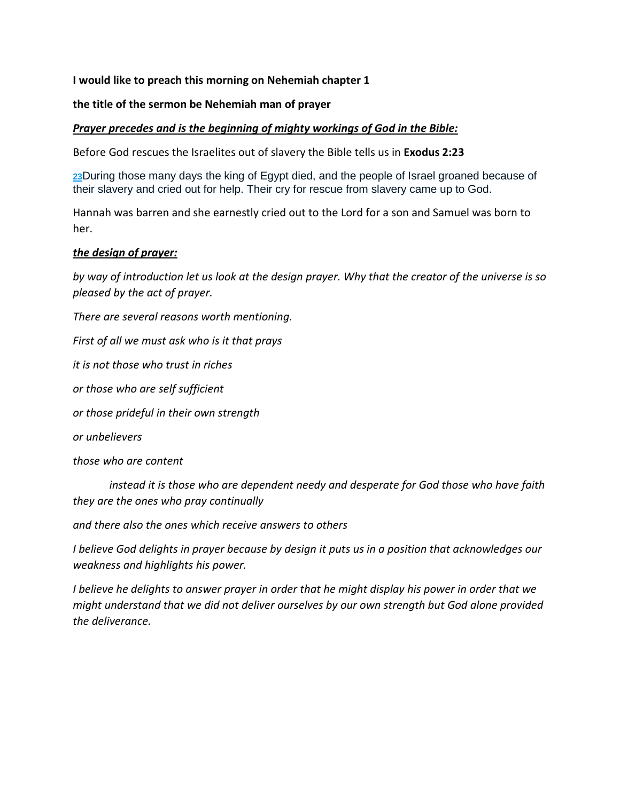## **I would like to preach this morning on Nehemiah chapter 1**

## **the title of the sermon be Nehemiah man of prayer**

### *Prayer precedes and is the beginning of mighty workings of God in the Bible:*

Before God rescues the Israelites out of slavery the Bible tells us in **Exodus 2:23** 

**23**During those many days the king of Egypt died, and the people of Israel groaned because of their slavery and cried out for help. Their cry for rescue from slavery came up to God.

Hannah was barren and she earnestly cried out to the Lord for a son and Samuel was born to her.

### *the design of prayer:*

*by way of introduction let us look at the design prayer. Why that the creator of the universe is so pleased by the act of prayer.* 

*There are several reasons worth mentioning.* 

*First of all we must ask who is it that prays* 

*it is not those who trust in riches* 

*or those who are self sufficient* 

*or those prideful in their own strength* 

*or unbelievers* 

*those who are content* 

 *instead it is those who are dependent needy and desperate for God those who have faith they are the ones who pray continually* 

*and there also the ones which receive answers to others* 

*I believe God delights in prayer because by design it puts us in a position that acknowledges our weakness and highlights his power.* 

*I believe he delights to answer prayer in order that he might display his power in order that we might understand that we did not deliver ourselves by our own strength but God alone provided the deliverance.*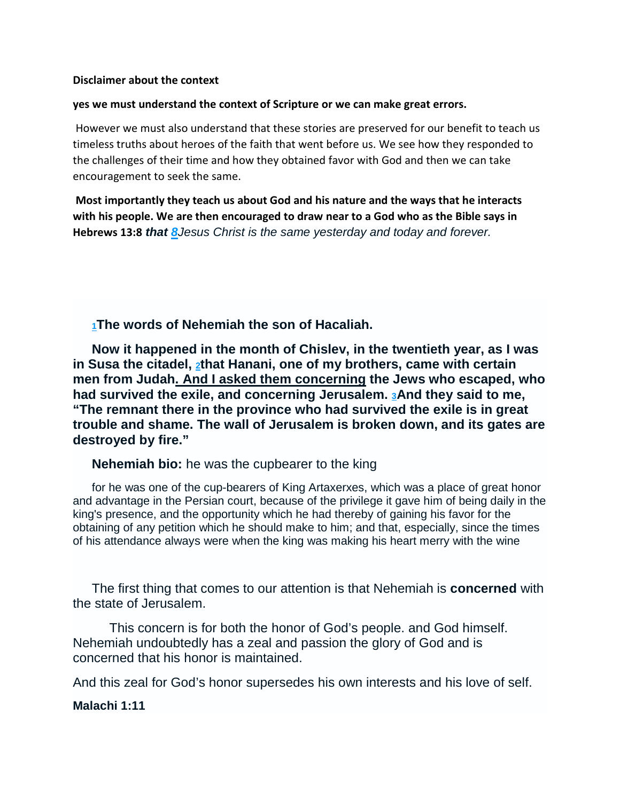#### **Disclaimer about the context**

#### **yes we must understand the context of Scripture or we can make great errors.**

 However we must also understand that these stories are preserved for our benefit to teach us timeless truths about heroes of the faith that went before us. We see how they responded to the challenges of their time and how they obtained favor with God and then we can take encouragement to seek the same.

 **Most importantly they teach us about God and his nature and the ways that he interacts with his people. We are then encouraged to draw near to a God who as the Bible says in Hebrews 13:8 that 8**Jesus Christ is the same yesterday and today and forever.

**<sup>1</sup>The words of Nehemiah the son of Hacaliah.** 

**Now it happened in the month of Chislev, in the twentieth year, as I was in Susa the citadel, 2that Hanani, one of my brothers, came with certain men from Judah. And I asked them concerning the Jews who escaped, who had survived the exile, and concerning Jerusalem. 3And they said to me, "The remnant there in the province who had survived the exile is in great trouble and shame. The wall of Jerusalem is broken down, and its gates are destroyed by fire."** 

**Nehemiah bio:** he was the cupbearer to the king

for he was one of the cup-bearers of King Artaxerxes, which was a place of great honor and advantage in the Persian court, because of the privilege it gave him of being daily in the king's presence, and the opportunity which he had thereby of gaining his favor for the obtaining of any petition which he should make to him; and that, especially, since the times of his attendance always were when the king was making his heart merry with the wine

The first thing that comes to our attention is that Nehemiah is **concerned** with the state of Jerusalem.

 This concern is for both the honor of God's people. and God himself. Nehemiah undoubtedly has a zeal and passion the glory of God and is concerned that his honor is maintained.

And this zeal for God's honor supersedes his own interests and his love of self.

#### **Malachi 1:11**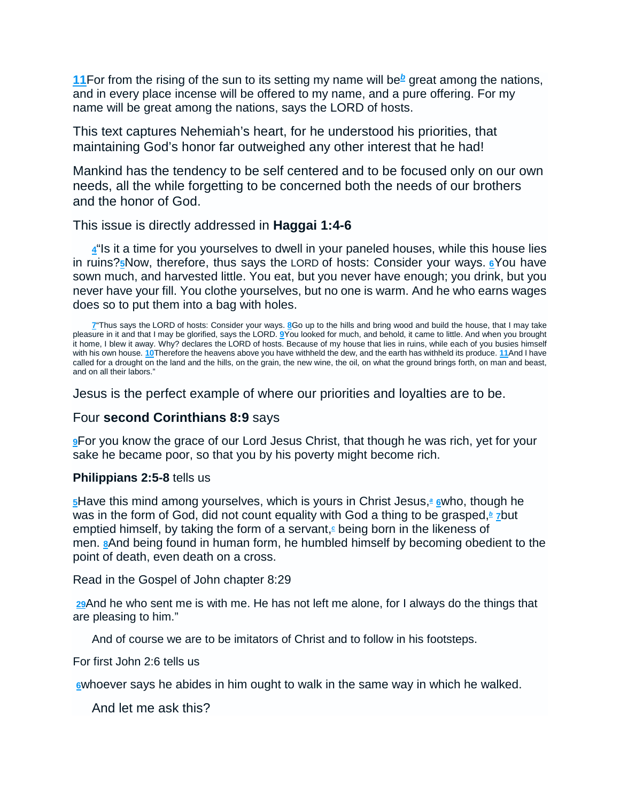**11** For from the rising of the sun to its setting my name will be<sup>b</sup> great among the nations, and in every place incense will be offered to my name, and a pure offering. For my name will be great among the nations, says the LORD of hosts.

This text captures Nehemiah's heart, for he understood his priorities, that maintaining God's honor far outweighed any other interest that he had!

Mankind has the tendency to be self centered and to be focused only on our own needs, all the while forgetting to be concerned both the needs of our brothers and the honor of God.

## This issue is directly addressed in **Haggai 1:4-6**

**4**"Is it a time for you yourselves to dwell in your paneled houses, while this house lies in ruins?**5**Now, therefore, thus says the LORD of hosts: Consider your ways. **6**You have sown much, and harvested little. You eat, but you never have enough; you drink, but you never have your fill. You clothe yourselves, but no one is warm. And he who earns wages does so to put them into a bag with holes.

Jesus is the perfect example of where our priorities and loyalties are to be.

# Four **second Corinthians 8:9** says

**9**For you know the grace of our Lord Jesus Christ, that though he was rich, yet for your sake he became poor, so that you by his poverty might become rich.

## **Philippians 2:5-8** tells us

**5**Have this mind among yourselves, which is yours in Christ Jesus,**<sup>a</sup> 6**who, though he was in the form of God, did not count equality with God a thing to be grasped,<sup>b</sup> *z*but emptied himself, by taking the form of a servant,**<sup>c</sup>** being born in the likeness of men. **8**And being found in human form, he humbled himself by becoming obedient to the point of death, even death on a cross.

Read in the Gospel of John chapter 8:29

**29**And he who sent me is with me. He has not left me alone, for I always do the things that are pleasing to him."

And of course we are to be imitators of Christ and to follow in his footsteps.

For first John 2:6 tells us

**6**whoever says he abides in him ought to walk in the same way in which he walked.

And let me ask this?

**<sup>7</sup>**"Thus says the LORD of hosts: Consider your ways. **8**Go up to the hills and bring wood and build the house, that I may take pleasure in it and that I may be glorified, says the LORD. **9**You looked for much, and behold, it came to little. And when you brought it home, I blew it away. Why? declares the LORD of hosts. Because of my house that lies in ruins, while each of you busies himself with his own house. **10**Therefore the heavens above you have withheld the dew, and the earth has withheld its produce. **11**And I have called for a drought on the land and the hills, on the grain, the new wine, the oil, on what the ground brings forth, on man and beast, and on all their labors."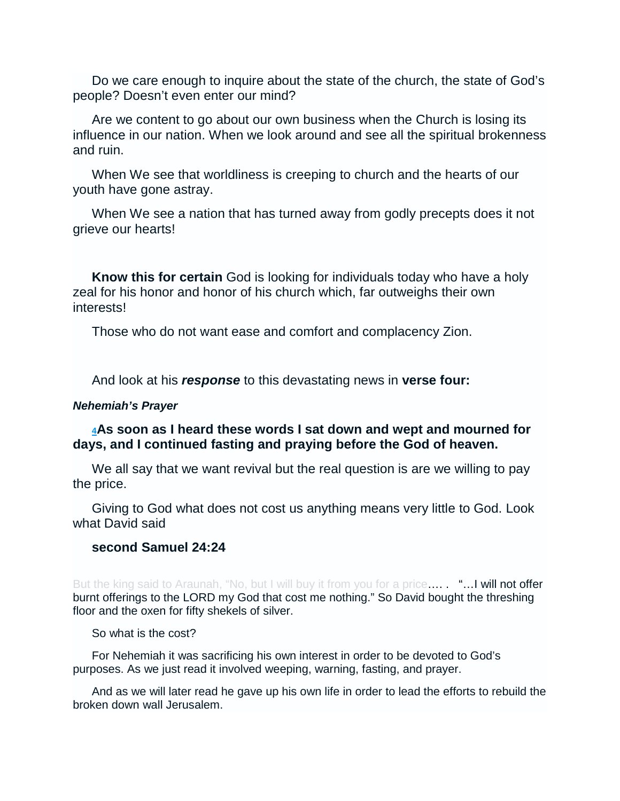Do we care enough to inquire about the state of the church, the state of God's people? Doesn't even enter our mind?

Are we content to go about our own business when the Church is losing its influence in our nation. When we look around and see all the spiritual brokenness and ruin.

When We see that worldliness is creeping to church and the hearts of our youth have gone astray.

When We see a nation that has turned away from godly precepts does it not grieve our hearts!

**Know this for certain** God is looking for individuals today who have a holy zeal for his honor and honor of his church which, far outweighs their own interests!

Those who do not want ease and comfort and complacency Zion.

And look at his **response** to this devastating news in **verse four:**

## **Nehemiah's Prayer**

# **<sup>4</sup>As soon as I heard these words I sat down and wept and mourned for days, and I continued fasting and praying before the God of heaven.**

We all say that we want revival but the real question is are we willing to pay the price.

Giving to God what does not cost us anything means very little to God. Look what David said

# **second Samuel 24:24**

But the king said to Araunah, "No, but I will buy it from you for a price..... "... I will not offer burnt offerings to the LORD my God that cost me nothing." So David bought the threshing floor and the oxen for fifty shekels of silver.

So what is the cost?

For Nehemiah it was sacrificing his own interest in order to be devoted to God's purposes. As we just read it involved weeping, warning, fasting, and prayer.

And as we will later read he gave up his own life in order to lead the efforts to rebuild the broken down wall Jerusalem.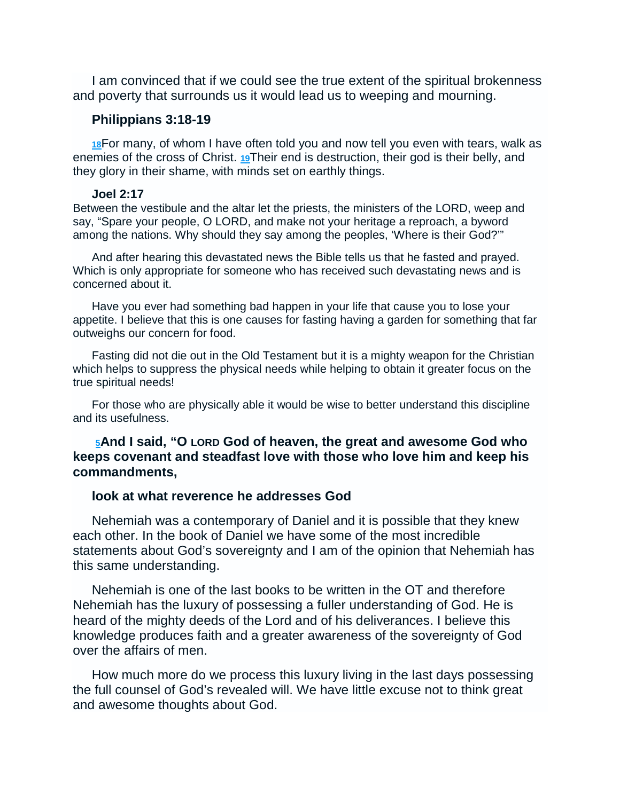I am convinced that if we could see the true extent of the spiritual brokenness and poverty that surrounds us it would lead us to weeping and mourning.

### **Philippians 3:18-19**

**18**For many, of whom I have often told you and now tell you even with tears, walk as enemies of the cross of Christ. **19**Their end is destruction, their god is their belly, and they glory in their shame, with minds set on earthly things.

### **Joel 2:17**

Between the vestibule and the altar let the priests, the ministers of the LORD, weep and say, "Spare your people, O LORD, and make not your heritage a reproach, a byword among the nations. Why should they say among the peoples, 'Where is their God?'"

And after hearing this devastated news the Bible tells us that he fasted and prayed. Which is only appropriate for someone who has received such devastating news and is concerned about it.

Have you ever had something bad happen in your life that cause you to lose your appetite. I believe that this is one causes for fasting having a garden for something that far outweighs our concern for food.

Fasting did not die out in the Old Testament but it is a mighty weapon for the Christian which helps to suppress the physical needs while helping to obtain it greater focus on the true spiritual needs!

For those who are physically able it would be wise to better understand this discipline and its usefulness.

# **<sup>5</sup>And I said, "O LORD God of heaven, the great and awesome God who keeps covenant and steadfast love with those who love him and keep his commandments,**

## **look at what reverence he addresses God**

Nehemiah was a contemporary of Daniel and it is possible that they knew each other. In the book of Daniel we have some of the most incredible statements about God's sovereignty and I am of the opinion that Nehemiah has this same understanding.

Nehemiah is one of the last books to be written in the OT and therefore Nehemiah has the luxury of possessing a fuller understanding of God. He is heard of the mighty deeds of the Lord and of his deliverances. I believe this knowledge produces faith and a greater awareness of the sovereignty of God over the affairs of men.

How much more do we process this luxury living in the last days possessing the full counsel of God's revealed will. We have little excuse not to think great and awesome thoughts about God.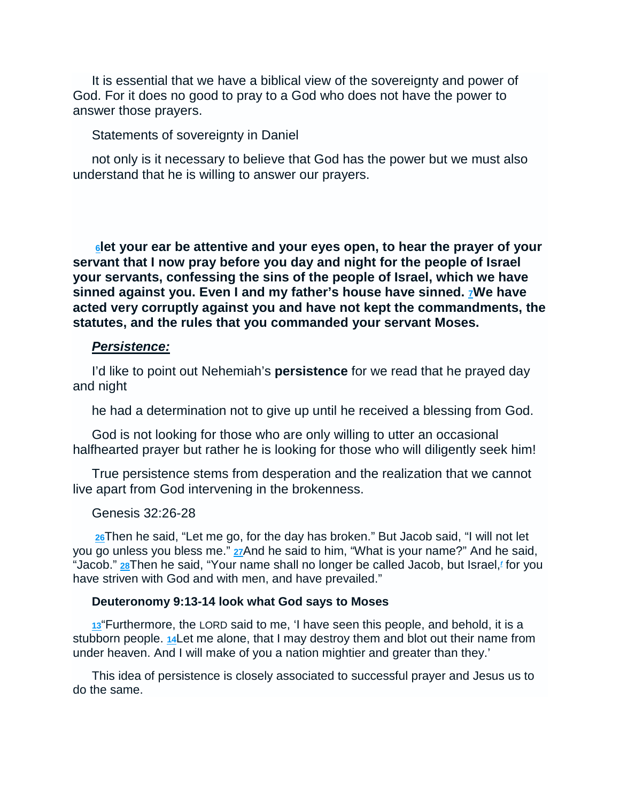It is essential that we have a biblical view of the sovereignty and power of God. For it does no good to pray to a God who does not have the power to answer those prayers.

## Statements of sovereignty in Daniel

not only is it necessary to believe that God has the power but we must also understand that he is willing to answer our prayers.

**<sup>6</sup>let your ear be attentive and your eyes open, to hear the prayer of your servant that I now pray before you day and night for the people of Israel your servants, confessing the sins of the people of Israel, which we have sinned against you. Even I and my father's house have sinned. 7We have acted very corruptly against you and have not kept the commandments, the statutes, and the rules that you commanded your servant Moses.** 

## **Persistence:**

I'd like to point out Nehemiah's **persistence** for we read that he prayed day and night

he had a determination not to give up until he received a blessing from God.

God is not looking for those who are only willing to utter an occasional halfhearted prayer but rather he is looking for those who will diligently seek him!

True persistence stems from desperation and the realization that we cannot live apart from God intervening in the brokenness.

## Genesis 32:26-28

**26**Then he said, "Let me go, for the day has broken." But Jacob said, "I will not let you go unless you bless me." **27**And he said to him, "What is your name?" And he said, "Jacob." **28**Then he said, "Your name shall no longer be called Jacob, but Israel,**<sup>f</sup>** for you have striven with God and with men, and have prevailed."

## **Deuteronomy 9:13-14 look what God says to Moses**

**13**"Furthermore, the LORD said to me, 'I have seen this people, and behold, it is a stubborn people. **14**Let me alone, that I may destroy them and blot out their name from under heaven. And I will make of you a nation mightier and greater than they.'

This idea of persistence is closely associated to successful prayer and Jesus us to do the same.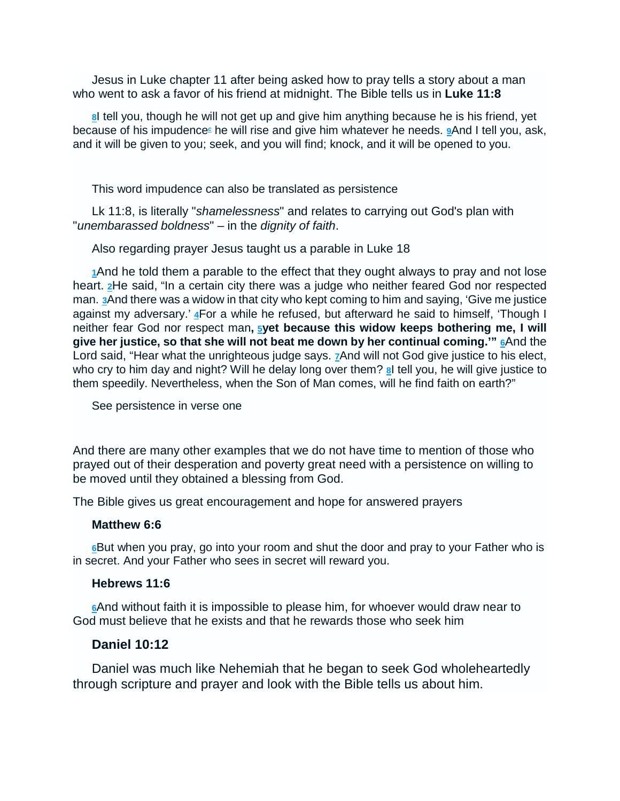Jesus in Luke chapter 11 after being asked how to pray tells a story about a man who went to ask a favor of his friend at midnight. The Bible tells us in **Luke 11:8** 

**8**I tell you, though he will not get up and give him anything because he is his friend, yet because of his impudence<sup>c</sup>he will rise and give him whatever he needs. **9**And I tell you, ask, and it will be given to you; seek, and you will find; knock, and it will be opened to you.

This word impudence can also be translated as persistence

Lk 11:8, is literally "shamelessness" and relates to carrying out God's plan with "unembarassed boldness" – in the dignity of faith.

Also regarding prayer Jesus taught us a parable in Luke 18

**1**And he told them a parable to the effect that they ought always to pray and not lose heart. **2**He said, "In a certain city there was a judge who neither feared God nor respected man. **3**And there was a widow in that city who kept coming to him and saying, 'Give me justice against my adversary.' **4**For a while he refused, but afterward he said to himself, 'Though I neither fear God nor respect man**, 5yet because this widow keeps bothering me, I will give her justice, so that she will not beat me down by her continual coming.'" 6**And the Lord said, "Hear what the unrighteous judge says. **7**And will not God give justice to his elect, who cry to him day and night? Will he delay long over them? **8**I tell you, he will give justice to them speedily. Nevertheless, when the Son of Man comes, will he find faith on earth?"

See persistence in verse one

And there are many other examples that we do not have time to mention of those who prayed out of their desperation and poverty great need with a persistence on willing to be moved until they obtained a blessing from God.

The Bible gives us great encouragement and hope for answered prayers

## **Matthew 6:6**

**6**But when you pray, go into your room and shut the door and pray to your Father who is in secret. And your Father who sees in secret will reward you.

## **Hebrews 11:6**

**6**And without faith it is impossible to please him, for whoever would draw near to God must believe that he exists and that he rewards those who seek him

# **Daniel 10:12**

Daniel was much like Nehemiah that he began to seek God wholeheartedly through scripture and prayer and look with the Bible tells us about him.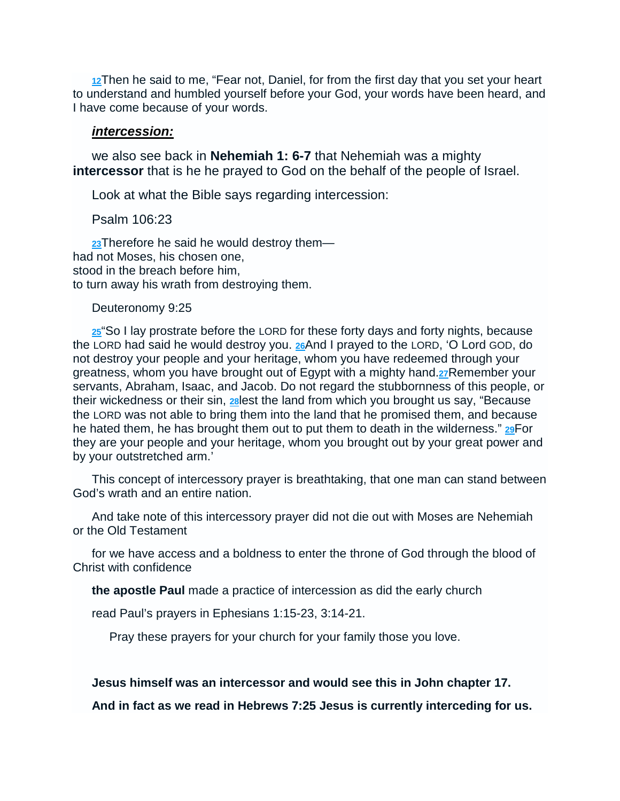**12**Then he said to me, "Fear not, Daniel, for from the first day that you set your heart to understand and humbled yourself before your God, your words have been heard, and I have come because of your words.

#### **intercession:**

we also see back in **Nehemiah 1: 6-7** that Nehemiah was a mighty **intercessor** that is he he prayed to God on the behalf of the people of Israel.

Look at what the Bible says regarding intercession:

Psalm 106:23

**23**Therefore he said he would destroy them had not Moses, his chosen one, stood in the breach before him, to turn away his wrath from destroying them.

#### Deuteronomy 9:25

**25**"So I lay prostrate before the LORD for these forty days and forty nights, because the LORD had said he would destroy you. **26**And I prayed to the LORD, 'O Lord GOD, do not destroy your people and your heritage, whom you have redeemed through your greatness, whom you have brought out of Egypt with a mighty hand.**27**Remember your servants, Abraham, Isaac, and Jacob. Do not regard the stubbornness of this people, or their wickedness or their sin, **28**lest the land from which you brought us say, "Because the LORD was not able to bring them into the land that he promised them, and because he hated them, he has brought them out to put them to death in the wilderness." **29**For they are your people and your heritage, whom you brought out by your great power and by your outstretched arm.'

This concept of intercessory prayer is breathtaking, that one man can stand between God's wrath and an entire nation.

And take note of this intercessory prayer did not die out with Moses are Nehemiah or the Old Testament

for we have access and a boldness to enter the throne of God through the blood of Christ with confidence

**the apostle Paul** made a practice of intercession as did the early church

read Paul's prayers in Ephesians 1:15-23, 3:14-21.

Pray these prayers for your church for your family those you love.

#### **Jesus himself was an intercessor and would see this in John chapter 17.**

**And in fact as we read in Hebrews 7:25 Jesus is currently interceding for us.**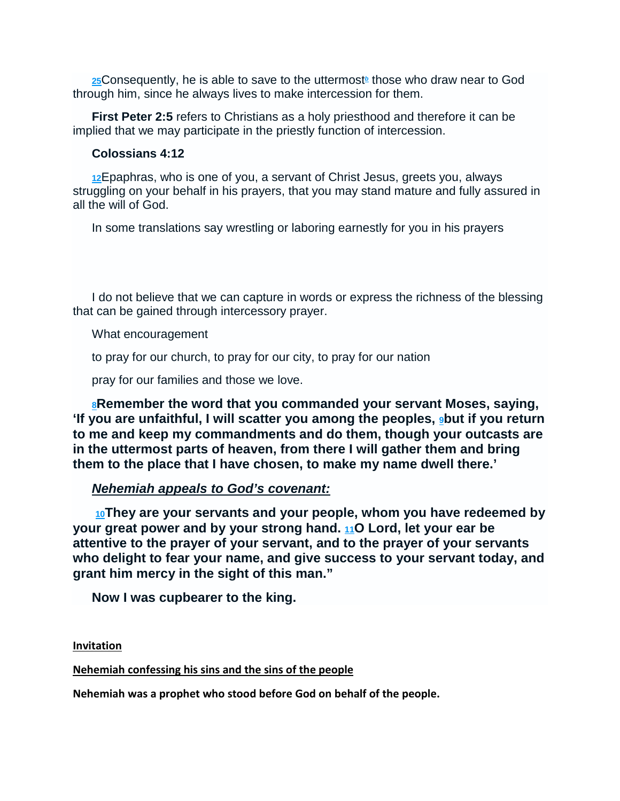**25**Consequently, he is able to save to the uttermost<sup>®</sup> those who draw near to God through him, since he always lives to make intercession for them.

**First Peter 2:5** refers to Christians as a holy priesthood and therefore it can be implied that we may participate in the priestly function of intercession.

## **Colossians 4:12**

**12**Epaphras, who is one of you, a servant of Christ Jesus, greets you, always struggling on your behalf in his prayers, that you may stand mature and fully assured in all the will of God.

In some translations say wrestling or laboring earnestly for you in his prayers

I do not believe that we can capture in words or express the richness of the blessing that can be gained through intercessory prayer.

What encouragement

to pray for our church, to pray for our city, to pray for our nation

pray for our families and those we love.

**<sup>8</sup>Remember the word that you commanded your servant Moses, saying, 'If you are unfaithful, I will scatter you among the peoples, 9but if you return to me and keep my commandments and do them, though your outcasts are in the uttermost parts of heaven, from there I will gather them and bring them to the place that I have chosen, to make my name dwell there.'** 

# **Nehemiah appeals to God's covenant:**

**<sup>10</sup>They are your servants and your people, whom you have redeemed by your great power and by your strong hand. 11O Lord, let your ear be attentive to the prayer of your servant, and to the prayer of your servants who delight to fear your name, and give success to your servant today, and grant him mercy in the sight of this man."** 

**Now I was cupbearer to the king.** 

**Invitation** 

**Nehemiah confessing his sins and the sins of the people** 

**Nehemiah was a prophet who stood before God on behalf of the people.**